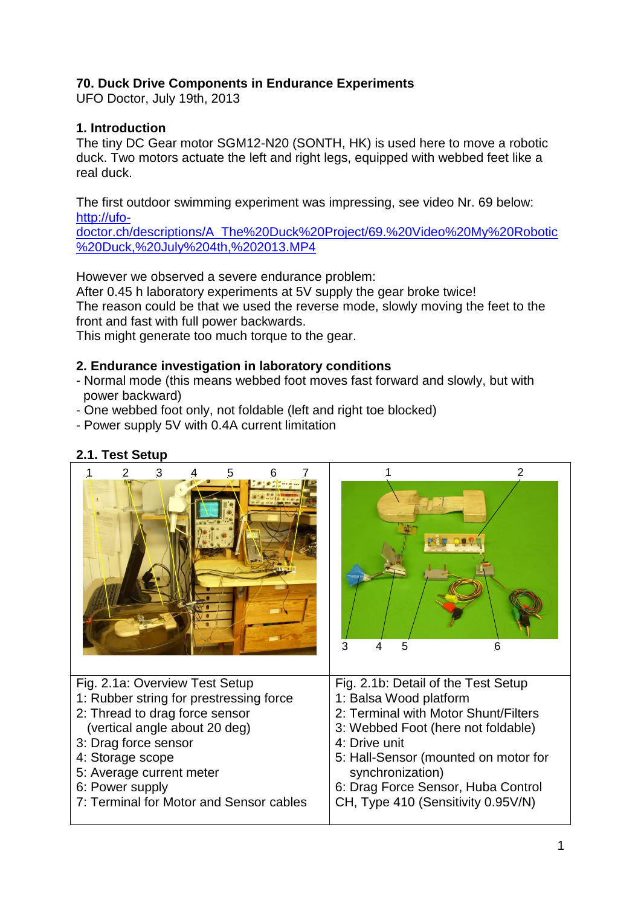## **70. Duck Drive Components in Endurance Experiments**

UFO Doctor, July 19th, 2013

## **1. Introduction**

The tiny DC Gear motor SGM12-N20 (SONTH, HK) is used here to move a robotic duck. Two motors actuate the left and right legs, equipped with webbed feet like a real duck.

The first outdoor swimming experiment was impressing, see video Nr. 69 below: [http://ufo-](http://ufo-doctor.ch/descriptions/A_The%20Duck%20Project/69.%20Video%20My%20Robotic%20Duck,%20July%204th,%202013.MP4)

[doctor.ch/descriptions/A\\_The%20Duck%20Project/69.%20Video%20My%20Robotic](http://ufo-doctor.ch/descriptions/A_The%20Duck%20Project/69.%20Video%20My%20Robotic%20Duck,%20July%204th,%202013.MP4) [%20Duck,%20July%204th,%202013.MP4](http://ufo-doctor.ch/descriptions/A_The%20Duck%20Project/69.%20Video%20My%20Robotic%20Duck,%20July%204th,%202013.MP4)

However we observed a severe endurance problem:

After 0.45 h laboratory experiments at 5V supply the gear broke twice! The reason could be that we used the reverse mode, slowly moving the feet to the front and fast with full power backwards.

This might generate too much torque to the gear.

#### **2. Endurance investigation in laboratory conditions**

- Normal mode (this means webbed foot moves fast forward and slowly, but with power backward)
- One webbed foot only, not foldable (left and right toe blocked)
- Power supply 5V with 0.4A current limitation

# **2.1. Test Setup**